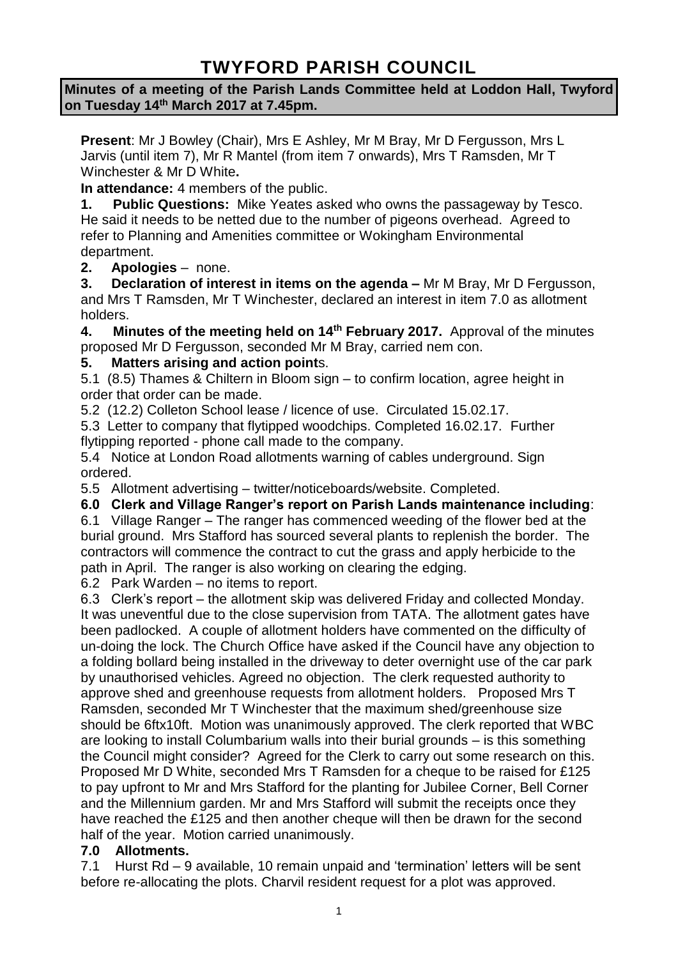# **TWYFORD PARISH COUNCIL**

**Minutes of a meeting of the Parish Lands Committee held at Loddon Hall, Twyford on Tuesday 14th March 2017 at 7.45pm.**

**Present**: Mr J Bowley (Chair), Mrs E Ashley, Mr M Bray, Mr D Fergusson, Mrs L Jarvis (until item 7), Mr R Mantel (from item 7 onwards), Mrs T Ramsden, Mr T Winchester & Mr D White**.**

**In attendance:** 4 members of the public.

**1. Public Questions:** Mike Yeates asked who owns the passageway by Tesco. He said it needs to be netted due to the number of pigeons overhead. Agreed to refer to Planning and Amenities committee or Wokingham Environmental department.

**2. Apologies** – none.

**3. Declaration of interest in items on the agenda –** Mr M Bray, Mr D Fergusson, and Mrs T Ramsden, Mr T Winchester, declared an interest in item 7.0 as allotment holders.

**4. Minutes of the meeting held on 14th February 2017.** Approval of the minutes proposed Mr D Fergusson, seconded Mr M Bray, carried nem con.

#### **5. Matters arising and action point**s.

5.1 (8.5) Thames & Chiltern in Bloom sign – to confirm location, agree height in order that order can be made.

5.2 (12.2) Colleton School lease / licence of use. Circulated 15.02.17.

5.3 Letter to company that flytipped woodchips. Completed 16.02.17. Further flytipping reported - phone call made to the company.

5.4 Notice at London Road allotments warning of cables underground. Sign ordered.

5.5 Allotment advertising – twitter/noticeboards/website. Completed.

**6.0 Clerk and Village Ranger's report on Parish Lands maintenance including**:

6.1 Village Ranger – The ranger has commenced weeding of the flower bed at the burial ground. Mrs Stafford has sourced several plants to replenish the border. The contractors will commence the contract to cut the grass and apply herbicide to the path in April. The ranger is also working on clearing the edging.

6.2 Park Warden – no items to report.

6.3 Clerk's report – the allotment skip was delivered Friday and collected Monday. It was uneventful due to the close supervision from TATA. The allotment gates have been padlocked. A couple of allotment holders have commented on the difficulty of un-doing the lock. The Church Office have asked if the Council have any objection to a folding bollard being installed in the driveway to deter overnight use of the car park by unauthorised vehicles. Agreed no objection. The clerk requested authority to approve shed and greenhouse requests from allotment holders. Proposed Mrs T Ramsden, seconded Mr T Winchester that the maximum shed/greenhouse size should be 6ftx10ft. Motion was unanimously approved. The clerk reported that WBC are looking to install Columbarium walls into their burial grounds – is this something the Council might consider? Agreed for the Clerk to carry out some research on this. Proposed Mr D White, seconded Mrs T Ramsden for a cheque to be raised for £125 to pay upfront to Mr and Mrs Stafford for the planting for Jubilee Corner, Bell Corner and the Millennium garden. Mr and Mrs Stafford will submit the receipts once they have reached the £125 and then another cheque will then be drawn for the second half of the year. Motion carried unanimously.

#### **7.0 Allotments.**

7.1 Hurst Rd – 9 available, 10 remain unpaid and 'termination' letters will be sent before re-allocating the plots. Charvil resident request for a plot was approved.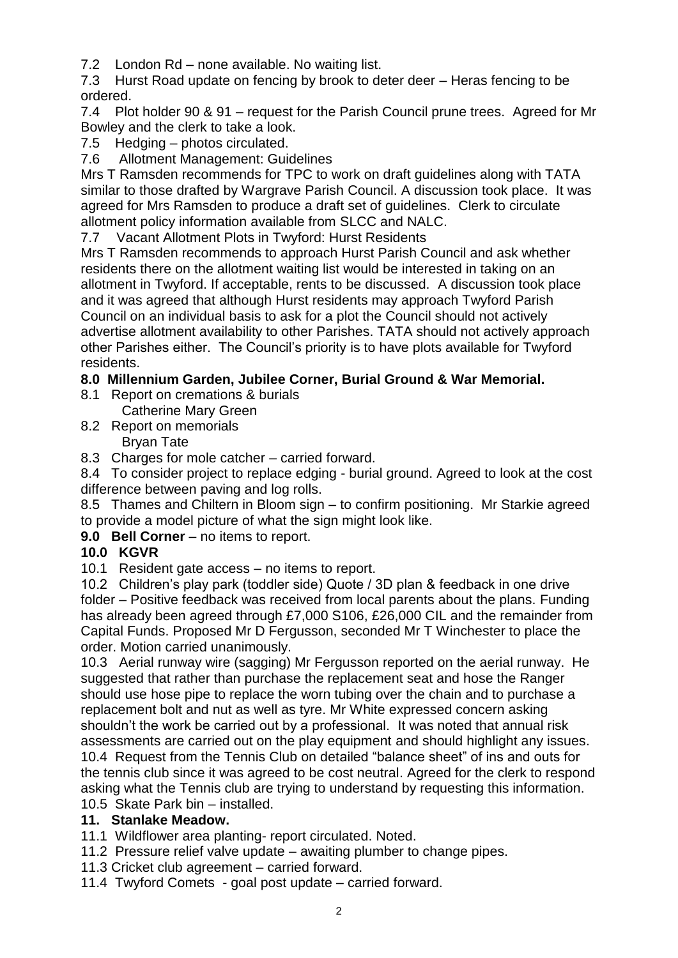7.2 London Rd – none available. No waiting list.

7.3 Hurst Road update on fencing by brook to deter deer – Heras fencing to be ordered.

7.4 Plot holder 90 & 91 – request for the Parish Council prune trees. Agreed for Mr Bowley and the clerk to take a look.

7.5 Hedging – photos circulated.

7.6 Allotment Management: Guidelines

Mrs T Ramsden recommends for TPC to work on draft guidelines along with TATA similar to those drafted by Wargrave Parish Council. A discussion took place. It was agreed for Mrs Ramsden to produce a draft set of guidelines. Clerk to circulate allotment policy information available from SLCC and NALC.

7.7 Vacant Allotment Plots in Twyford: Hurst Residents

Mrs T Ramsden recommends to approach Hurst Parish Council and ask whether residents there on the allotment waiting list would be interested in taking on an allotment in Twyford. If acceptable, rents to be discussed. A discussion took place and it was agreed that although Hurst residents may approach Twyford Parish Council on an individual basis to ask for a plot the Council should not actively advertise allotment availability to other Parishes. TATA should not actively approach other Parishes either. The Council's priority is to have plots available for Twyford residents.

### **8.0 Millennium Garden, Jubilee Corner, Burial Ground & War Memorial.**

8.1 Report on cremations & burials Catherine Mary Green

8.2 Report on memorials Bryan Tate

8.3 Charges for mole catcher – carried forward.

8.4 To consider project to replace edging - burial ground. Agreed to look at the cost difference between paving and log rolls.

8.5 Thames and Chiltern in Bloom sign – to confirm positioning. Mr Starkie agreed to provide a model picture of what the sign might look like.

**9.0 Bell Corner** – no items to report.

# **10.0 KGVR**

10.1 Resident gate access – no items to report.

10.2 Children's play park (toddler side) Quote / 3D plan & feedback in one drive folder – Positive feedback was received from local parents about the plans. Funding has already been agreed through £7,000 S106, £26,000 CIL and the remainder from Capital Funds. Proposed Mr D Fergusson, seconded Mr T Winchester to place the order. Motion carried unanimously.

10.3 Aerial runway wire (sagging) Mr Fergusson reported on the aerial runway. He suggested that rather than purchase the replacement seat and hose the Ranger should use hose pipe to replace the worn tubing over the chain and to purchase a replacement bolt and nut as well as tyre. Mr White expressed concern asking shouldn't the work be carried out by a professional. It was noted that annual risk assessments are carried out on the play equipment and should highlight any issues. 10.4 Request from the Tennis Club on detailed "balance sheet" of ins and outs for

the tennis club since it was agreed to be cost neutral. Agreed for the clerk to respond asking what the Tennis club are trying to understand by requesting this information. 10.5 Skate Park bin – installed.

# **11. Stanlake Meadow.**

11.1 Wildflower area planting- report circulated. Noted.

11.2 Pressure relief valve update – awaiting plumber to change pipes.

11.3 Cricket club agreement – carried forward.

11.4 Twyford Comets - goal post update – carried forward.